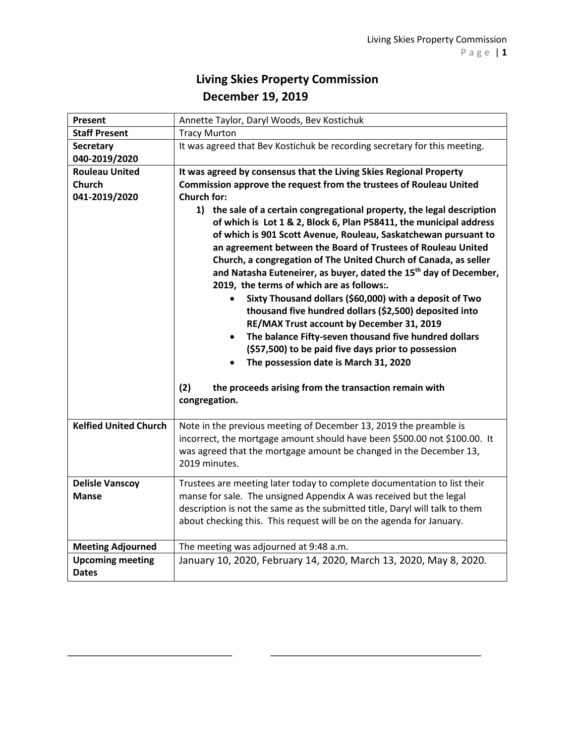## **Living Skies Property Commission December 19, 2019**

| Present                      | Annette Taylor, Daryl Woods, Bev Kostichuk                                                                                                                                                                                                                                                                                                                                                                                                                                                                                                                                                                                                                                                                                                                                                                                                                                                                               |
|------------------------------|--------------------------------------------------------------------------------------------------------------------------------------------------------------------------------------------------------------------------------------------------------------------------------------------------------------------------------------------------------------------------------------------------------------------------------------------------------------------------------------------------------------------------------------------------------------------------------------------------------------------------------------------------------------------------------------------------------------------------------------------------------------------------------------------------------------------------------------------------------------------------------------------------------------------------|
| <b>Staff Present</b>         | <b>Tracy Murton</b>                                                                                                                                                                                                                                                                                                                                                                                                                                                                                                                                                                                                                                                                                                                                                                                                                                                                                                      |
| <b>Secretary</b>             | It was agreed that Bev Kostichuk be recording secretary for this meeting.                                                                                                                                                                                                                                                                                                                                                                                                                                                                                                                                                                                                                                                                                                                                                                                                                                                |
| 040-2019/2020                |                                                                                                                                                                                                                                                                                                                                                                                                                                                                                                                                                                                                                                                                                                                                                                                                                                                                                                                          |
| <b>Rouleau United</b>        | It was agreed by consensus that the Living Skies Regional Property                                                                                                                                                                                                                                                                                                                                                                                                                                                                                                                                                                                                                                                                                                                                                                                                                                                       |
| <b>Church</b>                | Commission approve the request from the trustees of Rouleau United                                                                                                                                                                                                                                                                                                                                                                                                                                                                                                                                                                                                                                                                                                                                                                                                                                                       |
| 041-2019/2020                | <b>Church for:</b>                                                                                                                                                                                                                                                                                                                                                                                                                                                                                                                                                                                                                                                                                                                                                                                                                                                                                                       |
|                              | 1) the sale of a certain congregational property, the legal description<br>of which is Lot 1 & 2, Block 6, Plan P58411, the municipal address<br>of which is 901 Scott Avenue, Rouleau, Saskatchewan pursuant to<br>an agreement between the Board of Trustees of Rouleau United<br>Church, a congregation of The United Church of Canada, as seller<br>and Natasha Euteneirer, as buyer, dated the 15 <sup>th</sup> day of December,<br>2019, the terms of which are as follows:.<br>Sixty Thousand dollars (\$60,000) with a deposit of Two<br>$\bullet$<br>thousand five hundred dollars (\$2,500) deposited into<br>RE/MAX Trust account by December 31, 2019<br>The balance Fifty-seven thousand five hundred dollars<br>$\bullet$<br>(\$57,500) to be paid five days prior to possession<br>The possession date is March 31, 2020<br>(2)<br>the proceeds arising from the transaction remain with<br>congregation. |
|                              |                                                                                                                                                                                                                                                                                                                                                                                                                                                                                                                                                                                                                                                                                                                                                                                                                                                                                                                          |
| <b>Kelfied United Church</b> | Note in the previous meeting of December 13, 2019 the preamble is<br>incorrect, the mortgage amount should have been \$500.00 not \$100.00. It<br>was agreed that the mortgage amount be changed in the December 13,<br>2019 minutes.                                                                                                                                                                                                                                                                                                                                                                                                                                                                                                                                                                                                                                                                                    |
| <b>Delisle Vanscoy</b>       | Trustees are meeting later today to complete documentation to list their                                                                                                                                                                                                                                                                                                                                                                                                                                                                                                                                                                                                                                                                                                                                                                                                                                                 |
| <b>Manse</b>                 | manse for sale. The unsigned Appendix A was received but the legal                                                                                                                                                                                                                                                                                                                                                                                                                                                                                                                                                                                                                                                                                                                                                                                                                                                       |
|                              | description is not the same as the submitted title, Daryl will talk to them<br>about checking this. This request will be on the agenda for January.                                                                                                                                                                                                                                                                                                                                                                                                                                                                                                                                                                                                                                                                                                                                                                      |
| <b>Meeting Adjourned</b>     | The meeting was adjourned at 9:48 a.m.                                                                                                                                                                                                                                                                                                                                                                                                                                                                                                                                                                                                                                                                                                                                                                                                                                                                                   |
| <b>Upcoming meeting</b>      | January 10, 2020, February 14, 2020, March 13, 2020, May 8, 2020.                                                                                                                                                                                                                                                                                                                                                                                                                                                                                                                                                                                                                                                                                                                                                                                                                                                        |

\_\_\_\_\_\_\_\_\_\_\_\_\_\_\_\_\_\_\_\_\_\_\_\_\_\_\_\_\_\_\_\_ \_\_\_\_\_\_\_\_\_\_\_\_\_\_\_\_\_\_\_\_\_\_\_\_\_\_\_\_\_\_\_\_\_\_\_\_\_\_\_\_\_